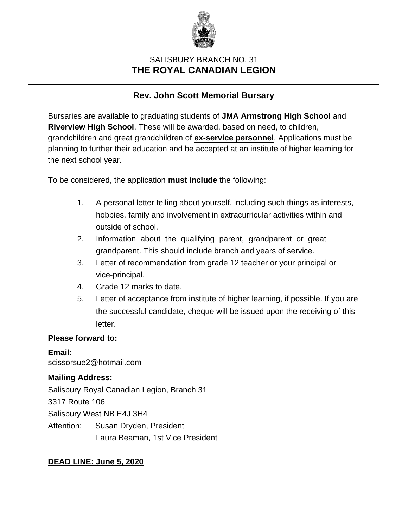

# SALISBURY BRANCH NO. 31 **THE ROYAL CANADIAN LEGION**

# **Rev. John Scott Memorial Bursary**

Bursaries are available to graduating students of **JMA Armstrong High School** and **Riverview High School**. These will be awarded, based on need, to children, grandchildren and great grandchildren of **ex-service personnel**. Applications must be planning to further their education and be accepted at an institute of higher learning for the next school year.

To be considered, the application **must include** the following:

- 1. A personal letter telling about yourself, including such things as interests, hobbies, family and involvement in extracurricular activities within and outside of school.
- 2. Information about the qualifying parent, grandparent or great grandparent. This should include branch and years of service.
- 3. Letter of recommendation from grade 12 teacher or your principal or vice-principal.
- 4. Grade 12 marks to date.
- 5. Letter of acceptance from institute of higher learning, if possible. If you are the successful candidate, cheque will be issued upon the receiving of this letter.

#### **Please forward to:**

**Email**: scissorsue2@hotmail.com

#### **Mailing Address:**

Salisbury Royal Canadian Legion, Branch 31 3317 Route 106 Salisbury West NB E4J 3H4 Attention: Susan Dryden, President Laura Beaman, 1st Vice President

## **DEAD LINE: June 5, 2020**